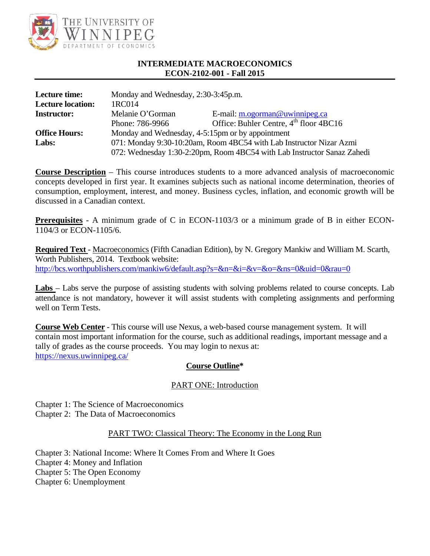

## **INTERMEDIATE MACROECONOMICS ECON-2102-001 - Fall 2015**

| <b>Lecture time:</b>     | Monday and Wednesday, 2:30-3:45p.m.                                     |                                                    |
|--------------------------|-------------------------------------------------------------------------|----------------------------------------------------|
| <b>Lecture location:</b> | 1RC014                                                                  |                                                    |
| <b>Instructor:</b>       | Melanie O'Gorman                                                        | E-mail: $m.$ ogorman@uwinnipeg.ca                  |
|                          | Phone: 786-9966                                                         | Office: Buhler Centre, $4^{\text{th}}$ floor 4BC16 |
| <b>Office Hours:</b>     | Monday and Wednesday, 4-5:15pm or by appointment                        |                                                    |
| Labs:                    | 071: Monday 9:30-10:20am, Room 4BC54 with Lab Instructor Nizar Azmi     |                                                    |
|                          | 072: Wednesday 1:30-2:20pm, Room 4BC54 with Lab Instructor Sanaz Zahedi |                                                    |

**Course Description** – This course introduces students to a more advanced analysis of macroeconomic concepts developed in first year. It examines subjects such as national income determination, theories of consumption, employment, interest, and money. Business cycles, inflation, and economic growth will be discussed in a Canadian context.

**Prerequisites** - A minimum grade of C in ECON-1103/3 or a minimum grade of B in either ECON-1104/3 or ECON-1105/6.

**Required Text** - Macroeconomics (Fifth Canadian Edition), by N. Gregory Mankiw and William M. Scarth, Worth Publishers, 2014. Textbook website: http://bcs.worthpublishers.com/mankiw6/default.asp?s=&n=&i=&v=&o=&ns=0&uid=0&rau=0

**Labs** – Labs serve the purpose of assisting students with solving problems related to course concepts. Lab attendance is not mandatory, however it will assist students with completing assignments and performing well on Term Tests.

**Course Web Center** - This course will use Nexus, a web-based course management system. It will contain most important information for the course, such as additional readings, important message and a tally of grades as the course proceeds. You may login to nexus at: https://nexus.uwinnipeg.ca/

## **Course Outline\***

#### PART ONE: Introduction

Chapter 1: The Science of Macroeconomics Chapter 2: The Data of Macroeconomics

#### PART TWO: Classical Theory: The Economy in the Long Run

Chapter 3: National Income: Where It Comes From and Where It Goes Chapter 4: Money and Inflation Chapter 5: The Open Economy Chapter 6: Unemployment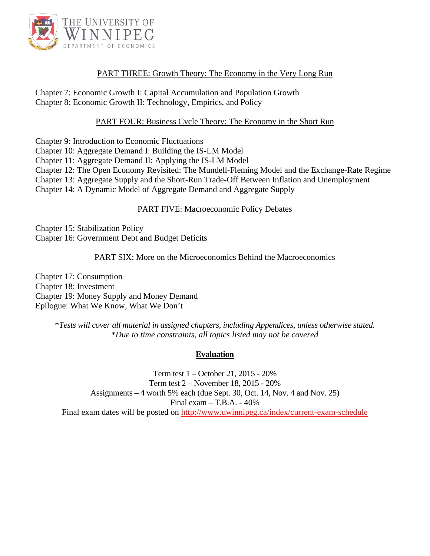

# PART THREE: Growth Theory: The Economy in the Very Long Run

Chapter 7: Economic Growth I: Capital Accumulation and Population Growth Chapter 8: Economic Growth II: Technology, Empirics, and Policy

## PART FOUR: Business Cycle Theory: The Economy in the Short Run

Chapter 9: Introduction to Economic Fluctuations

Chapter 10: Aggregate Demand I: Building the IS-LM Model

Chapter 11: Aggregate Demand II: Applying the IS-LM Model

Chapter 12: The Open Economy Revisited: The Mundell-Fleming Model and the Exchange-Rate Regime

Chapter 13: Aggregate Supply and the Short-Run Trade-Off Between Inflation and Unemployment

Chapter 14: A Dynamic Model of Aggregate Demand and Aggregate Supply

### PART FIVE: Macroeconomic Policy Debates

Chapter 15: Stabilization Policy Chapter 16: Government Debt and Budget Deficits

### PART SIX: More on the Microeconomics Behind the Macroeconomics

Chapter 17: Consumption Chapter 18: Investment Chapter 19: Money Supply and Money Demand Epilogue: What We Know, What We Don't

> \**Tests will cover all material in assigned chapters, including Appendices, unless otherwise stated.*  \**Due to time constraints, all topics listed may not be covered*

## **Evaluation**

Term test 1 – October 21, 2015 - 20% Term test 2 – November 18, 2015 - 20% Assignments – 4 worth 5% each (due Sept. 30, Oct. 14, Nov. 4 and Nov. 25) Final exam  $-$  T.B.A. - 40% Final exam dates will be posted on http://www.uwinnipeg.ca/index/current-exam-schedule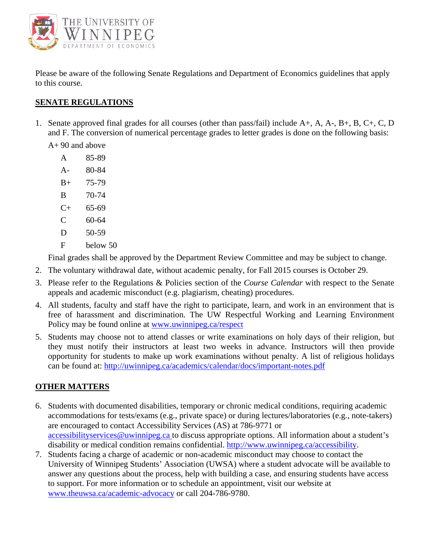

Please be aware of the following Senate Regulations and Department of Economics guidelines that apply to this course.

# **SENATE REGULATIONS**

- 1. Senate approved final grades for all courses (other than pass/fail) include A+, A, A-, B+, B, C+, C, D and F. The conversion of numerical percentage grades to letter grades is done on the following basis:
	- $A + 90$  and above
		- A 85-89 A- 80-84
		- B+ 75-79
		- B 70-74
		- $C+ 65-69$
		- C 60-64
		- D 50-59
		- F below 50

Final grades shall be approved by the Department Review Committee and may be subject to change.

- 2. The voluntary withdrawal date, without academic penalty, for Fall 2015 courses is October 29.
- 3. Please refer to the Regulations & Policies section of the *Course Calendar* with respect to the Senate appeals and academic misconduct (e.g. plagiarism, cheating) procedures.
- 4. All students, faculty and staff have the right to participate, learn, and work in an environment that is free of harassment and discrimination. The UW Respectful Working and Learning Environment Policy may be found online at www.uwinnipeg.ca/respect
- 5. Students may choose not to attend classes or write examinations on holy days of their religion, but they must notify their instructors at least two weeks in advance. Instructors will then provide opportunity for students to make up work examinations without penalty. A list of religious holidays can be found at: http://uwinnipeg.ca/academics/calendar/docs/important-notes.pdf

# **OTHER MATTERS**

- 6. Students with documented disabilities, temporary or chronic medical conditions, requiring academic accommodations for tests/exams (e.g., private space) or during lectures/laboratories (e.g., note-takers) are encouraged to contact Accessibility Services (AS) at 786-9771 or accessibilityservices@uwinnipeg.ca to discuss appropriate options. All information about a student's disability or medical condition remains confidential. http://www.uwinnipeg.ca/accessibility.
- 7. Students facing a charge of academic or non-academic misconduct may choose to contact the University of Winnipeg Students' Association (UWSA) where a student advocate will be available to answer any questions about the process, help with building a case, and ensuring students have access to support. For more information or to schedule an appointment, visit our website at www.theuwsa.ca/academic-advocacy or call 204-786-9780.